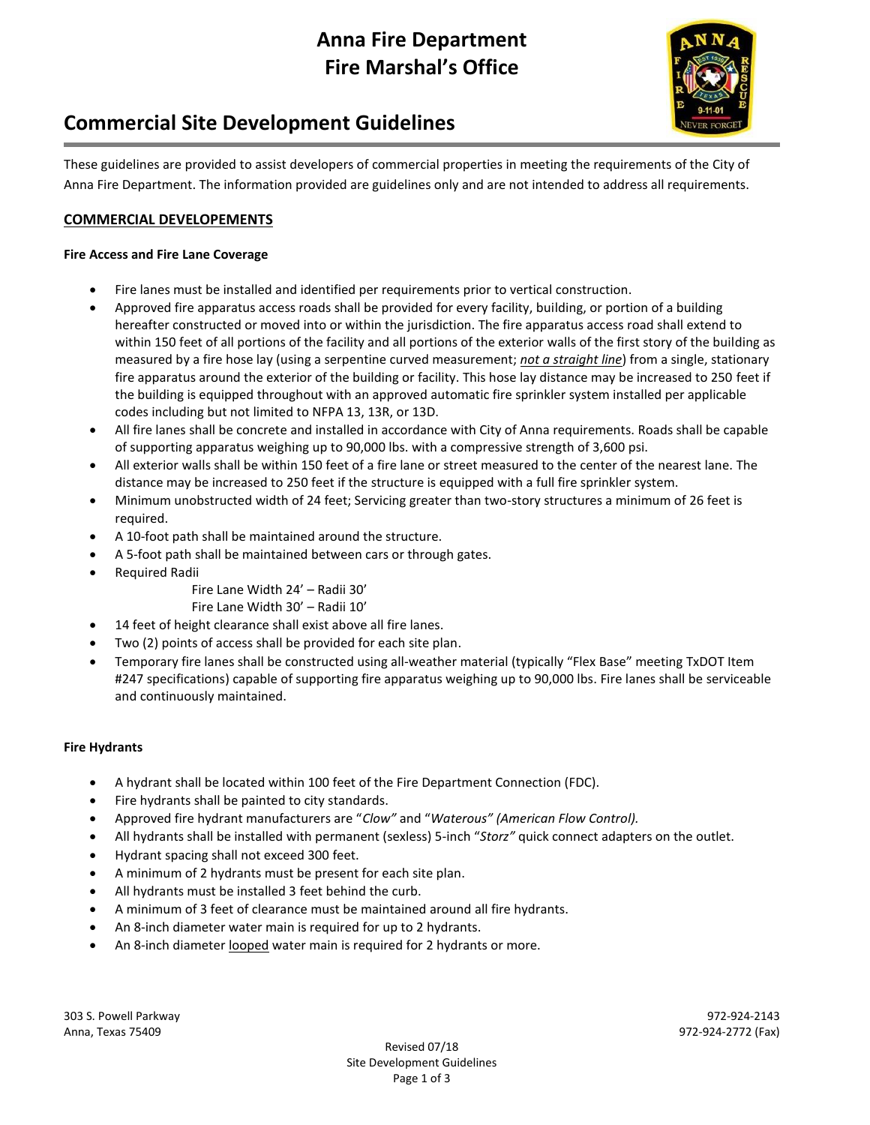# **Anna Fire Department Fire Marshal's Office**



# **Commercial Site Development Guidelines**

These guidelines are provided to assist developers of commercial properties in meeting the requirements of the City of Anna Fire Department. The information provided are guidelines only and are not intended to address all requirements.

### **COMMERCIAL DEVELOPEMENTS**

#### **Fire Access and Fire Lane Coverage**

- Fire lanes must be installed and identified per requirements prior to vertical construction.
- Approved fire apparatus access roads shall be provided for every facility, building, or portion of a building hereafter constructed or moved into or within the jurisdiction. The fire apparatus access road shall extend to within 150 feet of all portions of the facility and all portions of the exterior walls of the first story of the building as measured by a fire hose lay (using a serpentine curved measurement; *not a straight line*) from a single, stationary fire apparatus around the exterior of the building or facility. This hose lay distance may be increased to 250 feet if the building is equipped throughout with an approved automatic fire sprinkler system installed per applicable codes including but not limited to NFPA 13, 13R, or 13D.
- All fire lanes shall be concrete and installed in accordance with City of Anna requirements. Roads shall be capable of supporting apparatus weighing up to 90,000 lbs. with a compressive strength of 3,600 psi.
- All exterior walls shall be within 150 feet of a fire lane or street measured to the center of the nearest lane. The distance may be increased to 250 feet if the structure is equipped with a full fire sprinkler system.
- Minimum unobstructed width of 24 feet; Servicing greater than two-story structures a minimum of 26 feet is required.
- A 10-foot path shall be maintained around the structure.
- A 5-foot path shall be maintained between cars or through gates.
- Required Radii
	- Fire Lane Width 24' Radii 30'
	- Fire Lane Width 30' Radii 10'
- 14 feet of height clearance shall exist above all fire lanes.
- Two (2) points of access shall be provided for each site plan.
- Temporary fire lanes shall be constructed using all-weather material (typically "Flex Base" meeting TxDOT Item #247 specifications) capable of supporting fire apparatus weighing up to 90,000 lbs. Fire lanes shall be serviceable and continuously maintained.

### **Fire Hydrants**

- A hydrant shall be located within 100 feet of the Fire Department Connection (FDC).
- Fire hydrants shall be painted to city standards.
- Approved fire hydrant manufacturers are "*Clow"* and "*Waterous" (American Flow Control).*
- All hydrants shall be installed with permanent (sexless) 5-inch "*Storz"* quick connect adapters on the outlet.
- Hydrant spacing shall not exceed 300 feet.
- A minimum of 2 hydrants must be present for each site plan.
- All hydrants must be installed 3 feet behind the curb.
- A minimum of 3 feet of clearance must be maintained around all fire hydrants.
- An 8-inch diameter water main is required for up to 2 hydrants.
- An 8-inch diameter looped water main is required for 2 hydrants or more.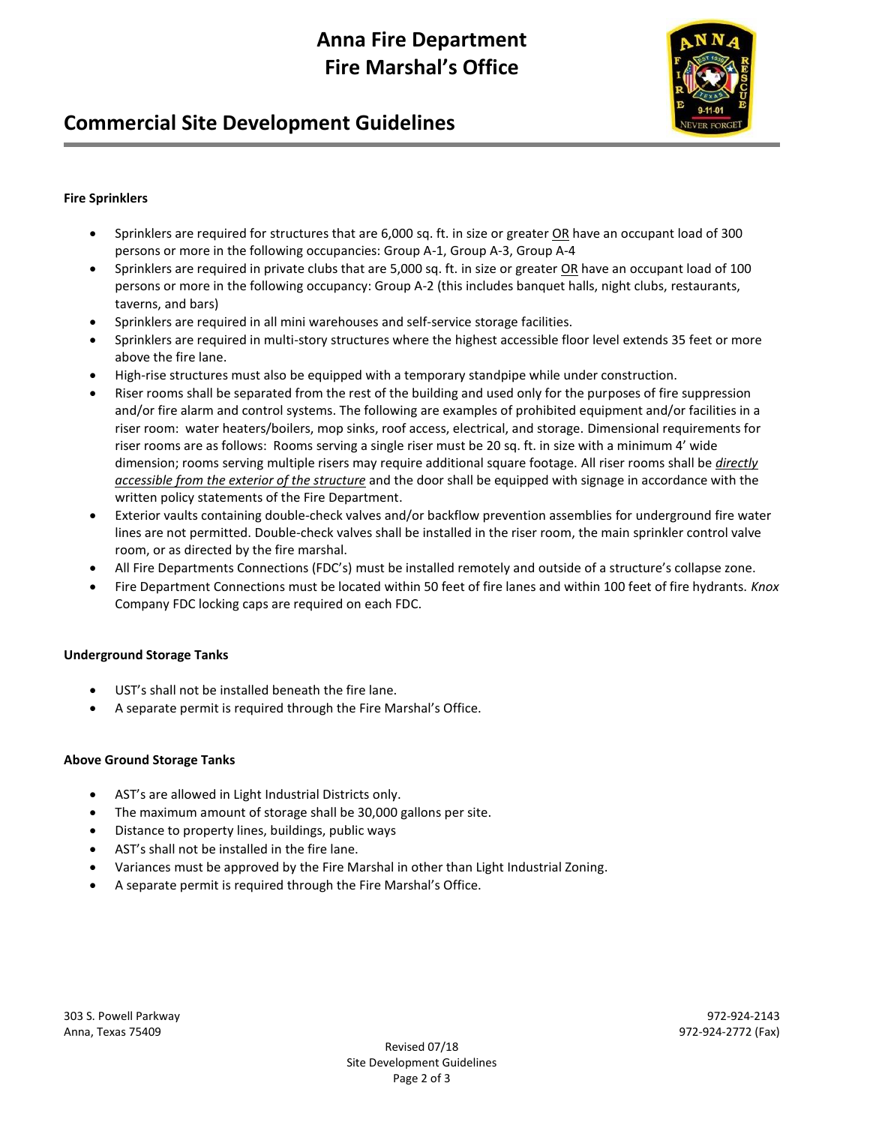# **Anna Fire Department Fire Marshal's Office**



### **Commercial Site Development Guidelines**

#### **Fire Sprinklers**

- Sprinklers are required for structures that are 6,000 sq. ft. in size or greater OR have an occupant load of 300 persons or more in the following occupancies: Group A-1, Group A-3, Group A-4
- Sprinklers are required in private clubs that are 5,000 sq. ft. in size or greater OR have an occupant load of 100 persons or more in the following occupancy: Group A-2 (this includes banquet halls, night clubs, restaurants, taverns, and bars)
- Sprinklers are required in all mini warehouses and self-service storage facilities.
- Sprinklers are required in multi-story structures where the highest accessible floor level extends 35 feet or more above the fire lane.
- High-rise structures must also be equipped with a temporary standpipe while under construction.
- Riser rooms shall be separated from the rest of the building and used only for the purposes of fire suppression and/or fire alarm and control systems. The following are examples of prohibited equipment and/or facilities in a riser room: water heaters/boilers, mop sinks, roof access, electrical, and storage. Dimensional requirements for riser rooms are as follows: Rooms serving a single riser must be 20 sq. ft. in size with a minimum 4' wide dimension; rooms serving multiple risers may require additional square footage. All riser rooms shall be *directly accessible from the exterior of the structure* and the door shall be equipped with signage in accordance with the written policy statements of the Fire Department.
- Exterior vaults containing double-check valves and/or backflow prevention assemblies for underground fire water lines are not permitted. Double-check valves shall be installed in the riser room, the main sprinkler control valve room, or as directed by the fire marshal.
- All Fire Departments Connections (FDC's) must be installed remotely and outside of a structure's collapse zone.
- Fire Department Connections must be located within 50 feet of fire lanes and within 100 feet of fire hydrants. *Knox* Company FDC locking caps are required on each FDC.

#### **Underground Storage Tanks**

- UST's shall not be installed beneath the fire lane.
- A separate permit is required through the Fire Marshal's Office.

#### **Above Ground Storage Tanks**

- AST's are allowed in Light Industrial Districts only.
- The maximum amount of storage shall be 30,000 gallons per site.
- Distance to property lines, buildings, public ways
- AST's shall not be installed in the fire lane.
- Variances must be approved by the Fire Marshal in other than Light Industrial Zoning.
- A separate permit is required through the Fire Marshal's Office.